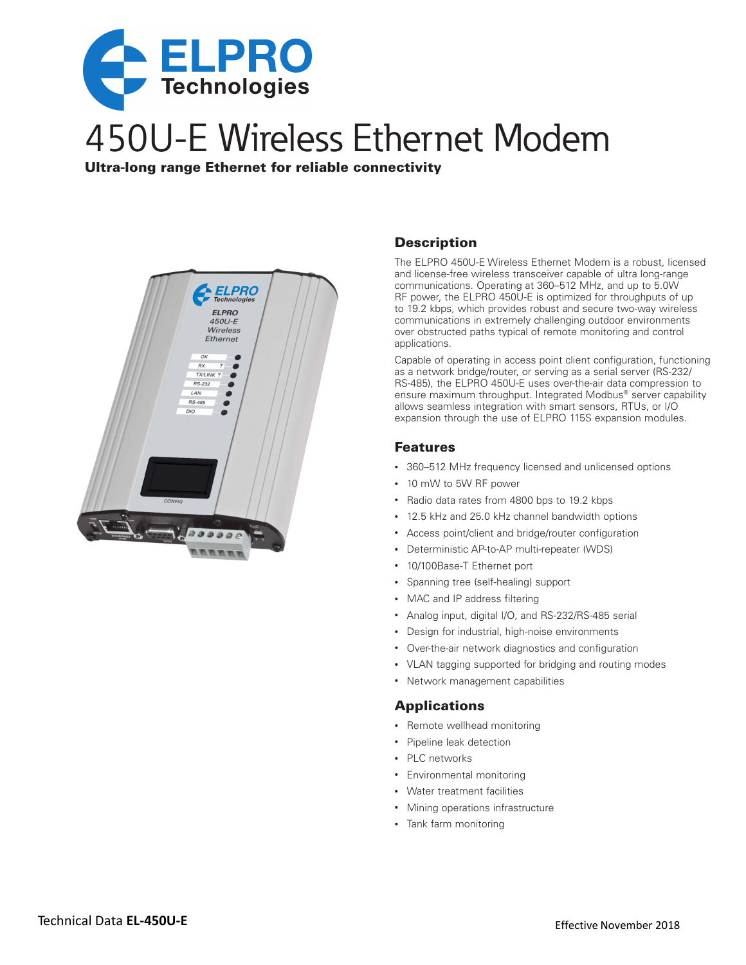

# 450U-E Wireless Ethernet Modem

Ultra-long range Ethernet for reliable connectivity



# **Description**

The ELPRO 450U-E Wireless Ethernet Modem is a robust, licensed and license-free wireless transceiver capable of ultra long-range communications. Operating at 360–512 MHz, and up to 5.0W RF power, the ELPRO 450U-E is optimized for throughputs of up to 19.2 kbps, which provides robust and secure two-way wireless communications in extremely challenging outdoor environments over obstructed paths typical of remote monitoring and control applications.

Capable of operating in access point client configuration, functioning as a network bridge/router, or serving as a serial server (RS-232/ RS-485), the ELPRO 450U-E uses over-the-air data compression to ensure maximum throughput. Integrated Modbus® server capability allows seamless integration with smart sensors, RTUs, or I/O expansion through the use of ELPRO 115S expansion modules.

## Features

- 360–512 MHz frequency licensed and unlicensed options
- • 10 mW to 5W RF power
- • Radio data rates from 4800 bps to 19.2 kbps
- • 12.5 kHz and 25.0 kHz channel bandwidth options
- Access point/client and bridge/router configuration
- • Deterministic AP-to-AP multi-repeater (WDS)
- 10/100Base-T Ethernet port
- • Spanning tree (self-healing) support
- MAC and IP address filtering
- Analog input, digital I/O, and RS-232/RS-485 serial
- • Design for industrial, high-noise environments
- • Over-the-air network diagnostics and configuration
- VLAN tagging supported for bridging and routing modes
- • Network management capabilities

## **Applications**

- Remote wellhead monitoring
- • Pipeline leak detection
- • PLC networks
- • Environmental monitoring
- • Water treatment facilities
- Mining operations infrastructure
- • Tank farm monitoring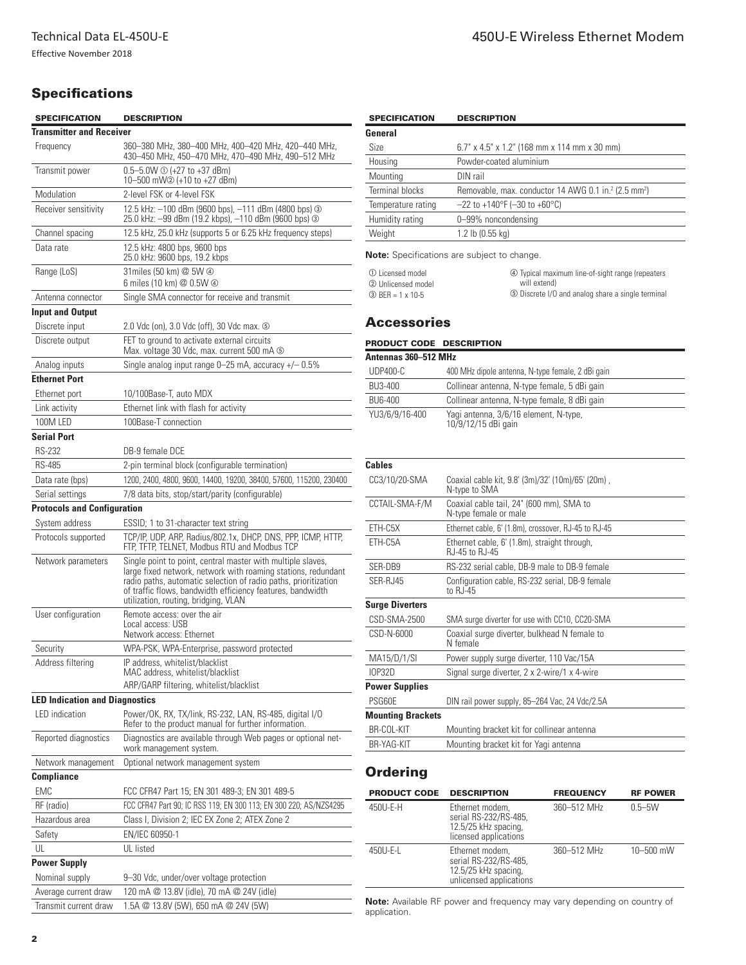# **Specifications**

| <b>SPECIFICATION</b>                  | <b>DESCRIPTION</b>                                                                                                                                                                                                                                                                                    |  |  |
|---------------------------------------|-------------------------------------------------------------------------------------------------------------------------------------------------------------------------------------------------------------------------------------------------------------------------------------------------------|--|--|
| <b>Transmitter and Receiver</b>       |                                                                                                                                                                                                                                                                                                       |  |  |
| Frequency                             | 360-380 MHz, 380-400 MHz, 400-420 MHz, 420-440 MHz,<br>430-450 MHz, 450-470 MHz, 470-490 MHz, 490-512 MHz                                                                                                                                                                                             |  |  |
| Transmit power                        | $0.5 - 5.0 W \odot (+27 \text{ to } +37 \text{ dBm})$<br>10-500 mW2 (+10 to +27 dBm)                                                                                                                                                                                                                  |  |  |
| Modulation                            | 2-level FSK or 4-level FSK                                                                                                                                                                                                                                                                            |  |  |
| Receiver sensitivity                  | 12.5 kHz: -100 dBm (9600 bps), -111 dBm (4800 bps) 3<br>25.0 kHz: -99 dBm (19.2 kbps), -110 dBm (9600 bps) 3                                                                                                                                                                                          |  |  |
| Channel spacing                       | 12.5 kHz, 25.0 kHz (supports 5 or 6.25 kHz frequency steps)                                                                                                                                                                                                                                           |  |  |
| Data rate                             | 12.5 kHz: 4800 bps, 9600 bps<br>25.0 kHz: 9600 bps, 19.2 kbps                                                                                                                                                                                                                                         |  |  |
| Range (LoS)                           | 31 miles (50 km) @ 5W @<br>6 miles (10 km) @ 0.5W 4                                                                                                                                                                                                                                                   |  |  |
| Antenna connector                     | Single SMA connector for receive and transmit                                                                                                                                                                                                                                                         |  |  |
| <b>Input and Output</b>               |                                                                                                                                                                                                                                                                                                       |  |  |
| Discrete input                        | 2.0 Vdc (on), 3.0 Vdc (off), 30 Vdc max. 5                                                                                                                                                                                                                                                            |  |  |
| Discrete output                       | FET to ground to activate external circuits<br>Max. voltage 30 Vdc, max. current 500 mA $\circledcirc$                                                                                                                                                                                                |  |  |
| Analog inputs                         | Single analog input range $0-25$ mA, accuracy $+/- 0.5\%$                                                                                                                                                                                                                                             |  |  |
| <b>Ethernet Port</b>                  |                                                                                                                                                                                                                                                                                                       |  |  |
| Ethernet port                         | 10/100Base-T, auto MDX                                                                                                                                                                                                                                                                                |  |  |
| Link activity                         | Ethernet link with flash for activity                                                                                                                                                                                                                                                                 |  |  |
| 100M LED                              | 100Base-T connection                                                                                                                                                                                                                                                                                  |  |  |
| <b>Serial Port</b>                    |                                                                                                                                                                                                                                                                                                       |  |  |
| <b>RS-232</b>                         | DB-9 female DCE                                                                                                                                                                                                                                                                                       |  |  |
| <b>RS-485</b>                         | 2-pin terminal block (configurable termination)                                                                                                                                                                                                                                                       |  |  |
| Data rate (bps)                       | 1200, 2400, 4800, 9600, 14400, 19200, 38400, 57600, 115200, 230400                                                                                                                                                                                                                                    |  |  |
| Serial settings                       | 7/8 data bits, stop/start/parity (configurable)                                                                                                                                                                                                                                                       |  |  |
| <b>Protocols and Configuration</b>    |                                                                                                                                                                                                                                                                                                       |  |  |
| System address                        | ESSID; 1 to 31-character text string                                                                                                                                                                                                                                                                  |  |  |
| Protocols supported                   | TCP/IP, UDP, ARP, Radius/802.1x, DHCP, DNS, PPP, ICMP, HTTP,<br>FTP, TFTP, TELNET, Modbus RTU and Modbus TCP                                                                                                                                                                                          |  |  |
| Network parameters                    | Single point to point, central master with multiple slaves,<br>large fixed network, network with roaming stations, redundant<br>radio paths, automatic selection of radio paths, prioritization<br>of traffic flows, bandwidth efficiency features, bandwidth<br>utilization, routing, bridging, VLAN |  |  |
| User configuration                    | Remote access: over the air<br>Local access: USB<br>Network access: Ethernet                                                                                                                                                                                                                          |  |  |
| Security                              | WPA-PSK, WPA-Enterprise, password protected                                                                                                                                                                                                                                                           |  |  |
| Address filtering                     | IP address, whitelist/blacklist<br>MAC address, whitelist/blacklist                                                                                                                                                                                                                                   |  |  |
|                                       | ARP/GARP filtering, whitelist/blacklist                                                                                                                                                                                                                                                               |  |  |
| <b>LED Indication and Diagnostics</b> |                                                                                                                                                                                                                                                                                                       |  |  |
| <b>LED</b> indication                 | Power/OK, RX, TX/link, RS-232, LAN, RS-485, digital I/O<br>Refer to the product manual for further information.                                                                                                                                                                                       |  |  |
| Reported diagnostics                  | Diagnostics are available through Web pages or optional net-<br>work management system.                                                                                                                                                                                                               |  |  |
| Network management                    | Optional network management system                                                                                                                                                                                                                                                                    |  |  |
| <b>Compliance</b>                     |                                                                                                                                                                                                                                                                                                       |  |  |
| FMC                                   | FCC CFR47 Part 15; EN 301 489-3; EN 301 489-5                                                                                                                                                                                                                                                         |  |  |
| RF (radio)                            | FCC CFR47 Part 90; IC RSS 119; EN 300 113; EN 300 220; AS/NZS4295                                                                                                                                                                                                                                     |  |  |
| Hazardous area                        | Class I, Division 2; IEC EX Zone 2; ATEX Zone 2                                                                                                                                                                                                                                                       |  |  |
| Safety                                | EN/IEC 60950-1                                                                                                                                                                                                                                                                                        |  |  |
| UL                                    | UL listed                                                                                                                                                                                                                                                                                             |  |  |
| <b>Power Supply</b>                   |                                                                                                                                                                                                                                                                                                       |  |  |
| Nominal supply                        | 9-30 Vdc, under/over voltage protection                                                                                                                                                                                                                                                               |  |  |
| Average current draw                  | 120 mA @ 13.8V (idle), 70 mA @ 24V (idle)                                                                                                                                                                                                                                                             |  |  |
| Transmit current draw                 | 1.5A @ 13.8V (5W), 650 mA @ 24V (5W)                                                                                                                                                                                                                                                                  |  |  |

| <b>SPECIFICATION</b>   | <b>DESCRIPTION</b>                                                           |  |
|------------------------|------------------------------------------------------------------------------|--|
| General                |                                                                              |  |
| <b>Size</b>            | 6.7" x 4.5" x 1.2" (168 mm x 114 mm x 30 mm)                                 |  |
| Housing                | Powder-coated aluminium                                                      |  |
| Mounting               | DIN rail                                                                     |  |
| <b>Terminal blocks</b> | Removable, max. conductor 14 AWG 0.1 in. <sup>2</sup> (2.5 mm <sup>2</sup> ) |  |
| Temperature rating     | $-22$ to +140°F (-30 to +60°C)                                               |  |
| Humidity rating        | 0-99% noncondensing                                                          |  |
| Weight                 | 1.2 lb (0.55 kg)                                                             |  |

**Note:** Specifications are subject to change.

<span id="page-1-2"></span><span id="page-1-1"></span><span id="page-1-0"></span>

| 1 Licensed model     |
|----------------------|
| 2 Unlicensed model   |
| $(3)$ BFR = 1 x 10-5 |

<span id="page-1-4"></span><span id="page-1-3"></span>d Typical maximum line-of-sight range (repeaters will extend)  $\circledS$  Discrete I/O and analog share a single terminal

## Accessories

### PRODUCT CODE DESCRIPTION

| Antennas 360-512 MHz |                                                              |  |  |  |
|----------------------|--------------------------------------------------------------|--|--|--|
| <b>UDP400-C</b>      | 400 MHz dipole antenna, N-type female, 2 dBi gain            |  |  |  |
| BU3-400              | Collinear antenna, N-type female, 5 dBi gain                 |  |  |  |
| BU6-400              | Collinear antenna, N-type female, 8 dBi gain                 |  |  |  |
| YU3/6/9/16-400       | Yagi antenna, 3/6/16 element, N-type,<br>10/9/12/15 dBi gain |  |  |  |

#### **Cables**

| CC3/10/20-SMA            | Coaxial cable kit, 9.8' (3m)/32' (10m)/65' (20m),<br>N-type to SMA |  |  |
|--------------------------|--------------------------------------------------------------------|--|--|
| CCTAIL-SMA-F/M           | Coaxial cable tail, 24" (600 mm), SMA to<br>N-type female or male  |  |  |
| ETH-C5X                  | Ethernet cable, 6' (1.8m), crossover, RJ-45 to RJ-45               |  |  |
| ETH-C5A                  | Ethernet cable, 6' (1.8m), straight through,<br>RJ-45 to RJ-45     |  |  |
| SER-DB9                  | RS-232 serial cable. DB-9 male to DB-9 female                      |  |  |
| SER-RJ45                 | Configuration cable, RS-232 serial, DB-9 female<br>to RJ-45        |  |  |
| <b>Surge Diverters</b>   |                                                                    |  |  |
| CSD-SMA-2500             | SMA surge diverter for use with CC10, CC20-SMA                     |  |  |
| CSD-N-6000               | Coaxial surge diverter, bulkhead N female to<br>N female           |  |  |
| MA15/D/1/SI              | Power supply surge diverter, 110 Vac/15A                           |  |  |
| <b>IOP32D</b>            | Signal surge diverter, 2 x 2-wire/1 x 4-wire                       |  |  |
| <b>Power Supplies</b>    |                                                                    |  |  |
| PSG60E                   | DIN rail power supply, 85–264 Vac, 24 Vdc/2.5A                     |  |  |
| <b>Mounting Brackets</b> |                                                                    |  |  |
| BR-COL-KIT               | Mounting bracket kit for collinear antenna                         |  |  |
| BR-YAG-KIT               | Mounting bracket kit for Yagi antenna                              |  |  |

## **Ordering**

| <b>PRODUCT CODE</b> | <b>DESCRIPTION</b>                                                                          | <b>FREQUENCY</b> | <b>RF POWER</b> |
|---------------------|---------------------------------------------------------------------------------------------|------------------|-----------------|
| 450U-E-H            | Ethernet modem,<br>serial RS-232/RS-485,<br>12.5/25 kHz spacing,<br>licensed applications   | 360-512 MHz      | $0.5 - 5W$      |
| 450U-E-L            | Ethernet modem,<br>serial RS-232/RS-485,<br>12.5/25 kHz spacing,<br>unlicensed applications | 360-512 MHz      | $10 - 500$ mW   |

**Note:** Available RF power and frequency may vary depending on country of application.